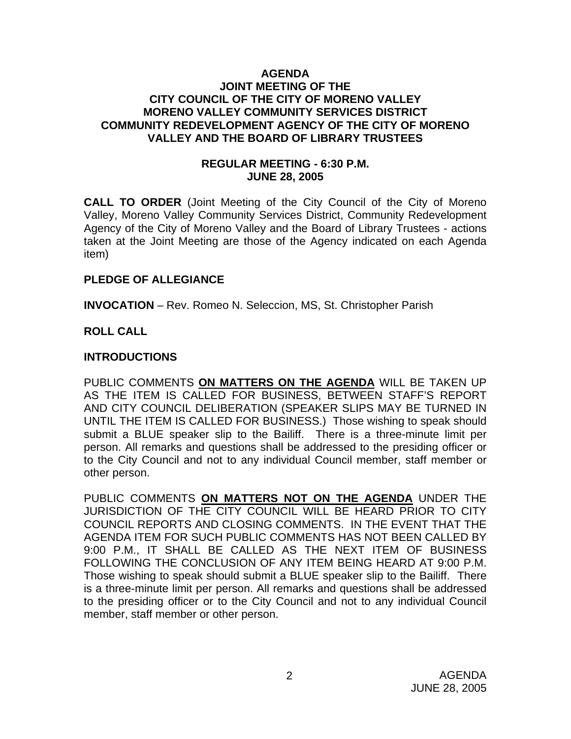#### **AGENDA JOINT MEETING OF THE CITY COUNCIL OF THE CITY OF MORENO VALLEY MORENO VALLEY COMMUNITY SERVICES DISTRICT COMMUNITY REDEVELOPMENT AGENCY OF THE CITY OF MORENO VALLEY AND THE BOARD OF LIBRARY TRUSTEES**

#### **REGULAR MEETING - 6:30 P.M. JUNE 28, 2005**

**CALL TO ORDER** (Joint Meeting of the City Council of the City of Moreno Valley, Moreno Valley Community Services District, Community Redevelopment Agency of the City of Moreno Valley and the Board of Library Trustees - actions taken at the Joint Meeting are those of the Agency indicated on each Agenda item)

### **PLEDGE OF ALLEGIANCE**

**INVOCATION** – Rev. Romeo N. Seleccion, MS, St. Christopher Parish

## **ROLL CALL**

#### **INTRODUCTIONS**

PUBLIC COMMENTS **ON MATTERS ON THE AGENDA** WILL BE TAKEN UP AS THE ITEM IS CALLED FOR BUSINESS, BETWEEN STAFF'S REPORT AND CITY COUNCIL DELIBERATION (SPEAKER SLIPS MAY BE TURNED IN UNTIL THE ITEM IS CALLED FOR BUSINESS.) Those wishing to speak should submit a BLUE speaker slip to the Bailiff. There is a three-minute limit per person. All remarks and questions shall be addressed to the presiding officer or to the City Council and not to any individual Council member, staff member or other person.

PUBLIC COMMENTS **ON MATTERS NOT ON THE AGENDA** UNDER THE JURISDICTION OF THE CITY COUNCIL WILL BE HEARD PRIOR TO CITY COUNCIL REPORTS AND CLOSING COMMENTS. IN THE EVENT THAT THE AGENDA ITEM FOR SUCH PUBLIC COMMENTS HAS NOT BEEN CALLED BY 9:00 P.M., IT SHALL BE CALLED AS THE NEXT ITEM OF BUSINESS FOLLOWING THE CONCLUSION OF ANY ITEM BEING HEARD AT 9:00 P.M. Those wishing to speak should submit a BLUE speaker slip to the Bailiff. There is a three-minute limit per person. All remarks and questions shall be addressed to the presiding officer or to the City Council and not to any individual Council member, staff member or other person.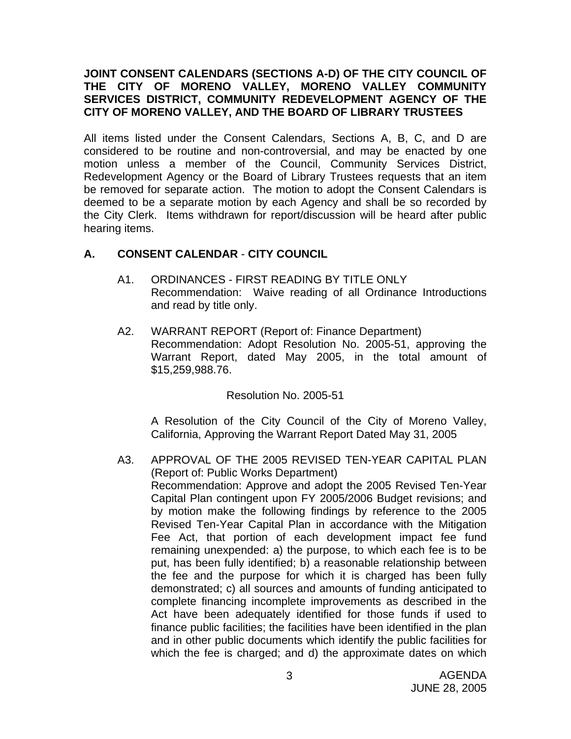### **JOINT CONSENT CALENDARS (SECTIONS A-D) OF THE CITY COUNCIL OF THE CITY OF MORENO VALLEY, MORENO VALLEY COMMUNITY SERVICES DISTRICT, COMMUNITY REDEVELOPMENT AGENCY OF THE CITY OF MORENO VALLEY, AND THE BOARD OF LIBRARY TRUSTEES**

All items listed under the Consent Calendars, Sections A, B, C, and D are considered to be routine and non-controversial, and may be enacted by one motion unless a member of the Council, Community Services District, Redevelopment Agency or the Board of Library Trustees requests that an item be removed for separate action. The motion to adopt the Consent Calendars is deemed to be a separate motion by each Agency and shall be so recorded by the City Clerk. Items withdrawn for report/discussion will be heard after public hearing items.

## **A. CONSENT CALENDAR** - **CITY COUNCIL**

- A1. ORDINANCES FIRST READING BY TITLE ONLY Recommendation: Waive reading of all Ordinance Introductions and read by title only.
- A2. WARRANT REPORT (Report of: Finance Department) Recommendation: Adopt Resolution No. 2005-51, approving the Warrant Report, dated May 2005, in the total amount of \$15,259,988.76.

# Resolution No. 2005-51

 A Resolution of the City Council of the City of Moreno Valley, California, Approving the Warrant Report Dated May 31, 2005

A3. APPROVAL OF THE 2005 REVISED TEN-YEAR CAPITAL PLAN (Report of: Public Works Department) Recommendation: Approve and adopt the 2005 Revised Ten-Year Capital Plan contingent upon FY 2005/2006 Budget revisions; and by motion make the following findings by reference to the 2005 Revised Ten-Year Capital Plan in accordance with the Mitigation Fee Act, that portion of each development impact fee fund remaining unexpended: a) the purpose, to which each fee is to be put, has been fully identified; b) a reasonable relationship between the fee and the purpose for which it is charged has been fully demonstrated; c) all sources and amounts of funding anticipated to complete financing incomplete improvements as described in the Act have been adequately identified for those funds if used to finance public facilities; the facilities have been identified in the plan and in other public documents which identify the public facilities for which the fee is charged; and d) the approximate dates on which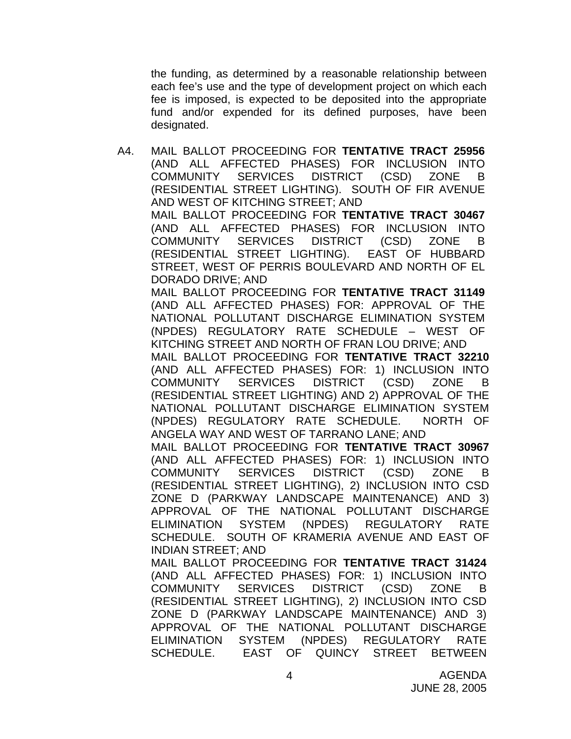the funding, as determined by a reasonable relationship between each fee's use and the type of development project on which each fee is imposed, is expected to be deposited into the appropriate fund and/or expended for its defined purposes, have been designated.

A4. MAIL BALLOT PROCEEDING FOR **TENTATIVE TRACT 25956** (AND ALL AFFECTED PHASES) FOR INCLUSION INTO COMMUNITY SERVICES DISTRICT (CSD) ZONE B (RESIDENTIAL STREET LIGHTING). SOUTH OF FIR AVENUE AND WEST OF KITCHING STREET; AND MAIL BALLOT PROCEEDING FOR **TENTATIVE TRACT 30467** (AND ALL AFFECTED PHASES) FOR INCLUSION INTO COMMUNITY SERVICES DISTRICT (CSD) ZONE B (RESIDENTIAL STREET LIGHTING). EAST OF HUBBARD STREET, WEST OF PERRIS BOULEVARD AND NORTH OF EL DORADO DRIVE; AND MAIL BALLOT PROCEEDING FOR **TENTATIVE TRACT 31149** (AND ALL AFFECTED PHASES) FOR: APPROVAL OF THE NATIONAL POLLUTANT DISCHARGE ELIMINATION SYSTEM (NPDES) REGULATORY RATE SCHEDULE – WEST OF KITCHING STREET AND NORTH OF FRAN LOU DRIVE; AND MAIL BALLOT PROCEEDING FOR **TENTATIVE TRACT 32210** (AND ALL AFFECTED PHASES) FOR: 1) INCLUSION INTO COMMUNITY SERVICES DISTRICT (CSD) ZONE B (RESIDENTIAL STREET LIGHTING) AND 2) APPROVAL OF THE NATIONAL POLLUTANT DISCHARGE ELIMINATION SYSTEM (NPDES) REGULATORY RATE SCHEDULE. NORTH OF ANGELA WAY AND WEST OF TARRANO LANE; AND MAIL BALLOT PROCEEDING FOR **TENTATIVE TRACT 30967** (AND ALL AFFECTED PHASES) FOR: 1) INCLUSION INTO COMMUNITY SERVICES DISTRICT (CSD) ZONE B (RESIDENTIAL STREET LIGHTING), 2) INCLUSION INTO CSD ZONE D (PARKWAY LANDSCAPE MAINTENANCE) AND 3) APPROVAL OF THE NATIONAL POLLUTANT DISCHARGE ELIMINATION SYSTEM (NPDES) REGULATORY RATE SCHEDULE. SOUTH OF KRAMERIA AVENUE AND EAST OF INDIAN STREET; AND MAIL BALLOT PROCEEDING FOR **TENTATIVE TRACT 31424** (AND ALL AFFECTED PHASES) FOR: 1) INCLUSION INTO COMMUNITY SERVICES DISTRICT (CSD) ZONE B (RESIDENTIAL STREET LIGHTING), 2) INCLUSION INTO CSD ZONE D (PARKWAY LANDSCAPE MAINTENANCE) AND 3) APPROVAL OF THE NATIONAL POLLUTANT DISCHARGE ELIMINATION SYSTEM (NPDES) REGULATORY RATE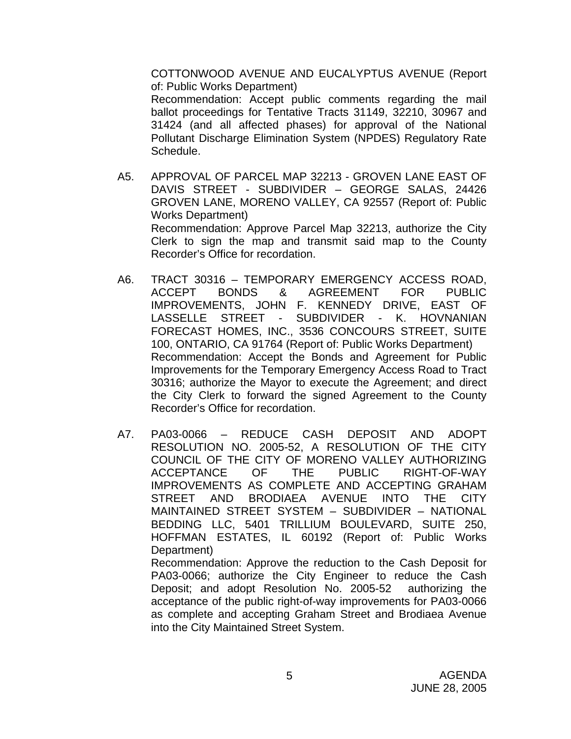COTTONWOOD AVENUE AND EUCALYPTUS AVENUE (Report of: Public Works Department)

Recommendation: Accept public comments regarding the mail ballot proceedings for Tentative Tracts 31149, 32210, 30967 and 31424 (and all affected phases) for approval of the National Pollutant Discharge Elimination System (NPDES) Regulatory Rate Schedule.

- A5. APPROVAL OF PARCEL MAP 32213 GROVEN LANE EAST OF DAVIS STREET - SUBDIVIDER – GEORGE SALAS, 24426 GROVEN LANE, MORENO VALLEY, CA 92557 (Report of: Public Works Department) Recommendation: Approve Parcel Map 32213, authorize the City Clerk to sign the map and transmit said map to the County Recorder's Office for recordation.
- A6. TRACT 30316 TEMPORARY EMERGENCY ACCESS ROAD, ACCEPT BONDS & AGREEMENT FOR PUBLIC IMPROVEMENTS, JOHN F. KENNEDY DRIVE, EAST OF LASSELLE STREET - SUBDIVIDER - K. HOVNANIAN FORECAST HOMES, INC., 3536 CONCOURS STREET, SUITE 100, ONTARIO, CA 91764 (Report of: Public Works Department) Recommendation: Accept the Bonds and Agreement for Public Improvements for the Temporary Emergency Access Road to Tract 30316; authorize the Mayor to execute the Agreement; and direct the City Clerk to forward the signed Agreement to the County Recorder's Office for recordation.
- A7. PA03-0066 REDUCE CASH DEPOSIT AND ADOPT RESOLUTION NO. 2005-52, A RESOLUTION OF THE CITY COUNCIL OF THE CITY OF MORENO VALLEY AUTHORIZING ACCEPTANCE OF THE PUBLIC RIGHT-OF-WAY IMPROVEMENTS AS COMPLETE AND ACCEPTING GRAHAM STREET AND BRODIAEA AVENUE INTO THE CITY MAINTAINED STREET SYSTEM – SUBDIVIDER – NATIONAL BEDDING LLC, 5401 TRILLIUM BOULEVARD, SUITE 250, HOFFMAN ESTATES, IL 60192 (Report of: Public Works Department) Recommendation: Approve the reduction to the Cash Deposit for

PA03-0066; authorize the City Engineer to reduce the Cash Deposit; and adopt Resolution No. 2005-52 authorizing the acceptance of the public right-of-way improvements for PA03-0066 as complete and accepting Graham Street and Brodiaea Avenue into the City Maintained Street System.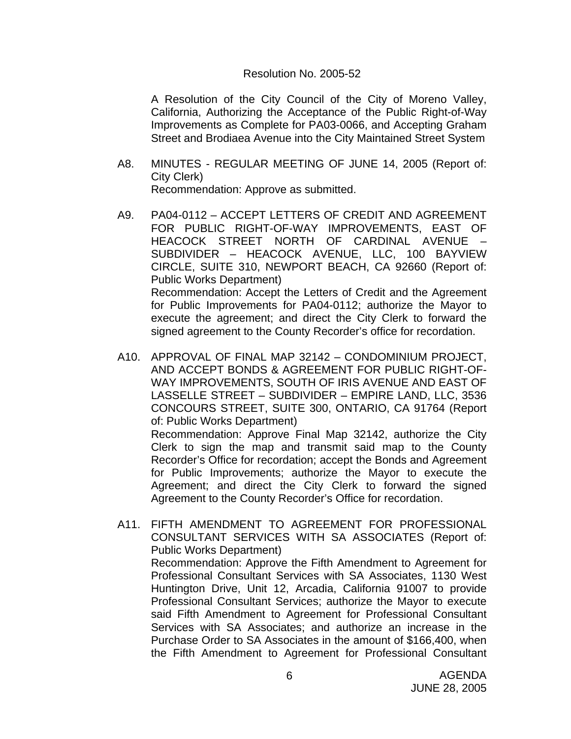#### Resolution No. 2005-52

 A Resolution of the City Council of the City of Moreno Valley, California, Authorizing the Acceptance of the Public Right-of-Way Improvements as Complete for PA03-0066, and Accepting Graham Street and Brodiaea Avenue into the City Maintained Street System

- A8. MINUTES REGULAR MEETING OF JUNE 14, 2005 (Report of: City Clerk) Recommendation: Approve as submitted.
- A9. PA04-0112 ACCEPT LETTERS OF CREDIT AND AGREEMENT FOR PUBLIC RIGHT-OF-WAY IMPROVEMENTS, EAST OF HEACOCK STREET NORTH OF CARDINAL AVENUE – SUBDIVIDER – HEACOCK AVENUE, LLC, 100 BAYVIEW CIRCLE, SUITE 310, NEWPORT BEACH, CA 92660 (Report of: Public Works Department) Recommendation: Accept the Letters of Credit and the Agreement for Public Improvements for PA04-0112; authorize the Mayor to execute the agreement; and direct the City Clerk to forward the signed agreement to the County Recorder's office for recordation.
- A10. APPROVAL OF FINAL MAP 32142 CONDOMINIUM PROJECT, AND ACCEPT BONDS & AGREEMENT FOR PUBLIC RIGHT-OF-WAY IMPROVEMENTS, SOUTH OF IRIS AVENUE AND EAST OF LASSELLE STREET – SUBDIVIDER – EMPIRE LAND, LLC, 3536 CONCOURS STREET, SUITE 300, ONTARIO, CA 91764 (Report of: Public Works Department)

 Recommendation: Approve Final Map 32142, authorize the City Clerk to sign the map and transmit said map to the County Recorder's Office for recordation; accept the Bonds and Agreement for Public Improvements; authorize the Mayor to execute the Agreement; and direct the City Clerk to forward the signed Agreement to the County Recorder's Office for recordation.

A11. FIFTH AMENDMENT TO AGREEMENT FOR PROFESSIONAL CONSULTANT SERVICES WITH SA ASSOCIATES (Report of: Public Works Department) Recommendation: Approve the Fifth Amendment to Agreement for Professional Consultant Services with SA Associates, 1130 West Huntington Drive, Unit 12, Arcadia, California 91007 to provide Professional Consultant Services; authorize the Mayor to execute said Fifth Amendment to Agreement for Professional Consultant Services with SA Associates; and authorize an increase in the Purchase Order to SA Associates in the amount of \$166,400, when the Fifth Amendment to Agreement for Professional Consultant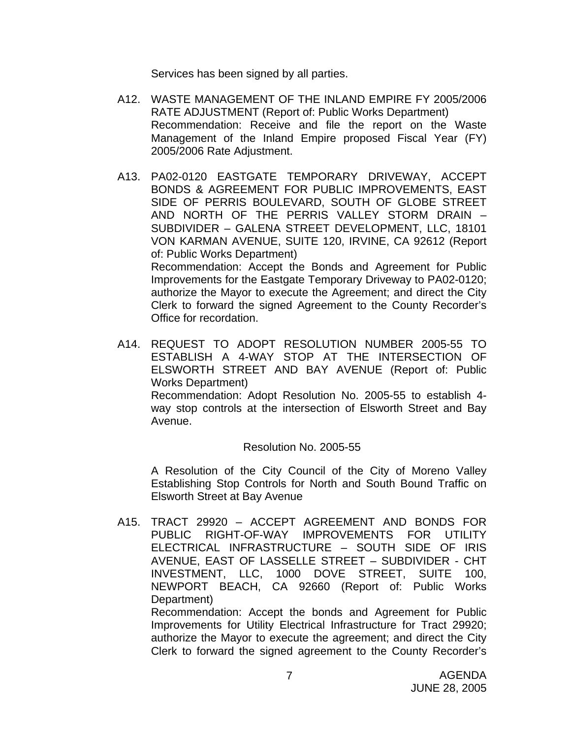Services has been signed by all parties.

- A12. WASTE MANAGEMENT OF THE INLAND EMPIRE FY 2005/2006 RATE ADJUSTMENT (Report of: Public Works Department) Recommendation: Receive and file the report on the Waste Management of the Inland Empire proposed Fiscal Year (FY) 2005/2006 Rate Adjustment.
- A13. PA02-0120 EASTGATE TEMPORARY DRIVEWAY, ACCEPT BONDS & AGREEMENT FOR PUBLIC IMPROVEMENTS, EAST SIDE OF PERRIS BOULEVARD, SOUTH OF GLOBE STREET AND NORTH OF THE PERRIS VALLEY STORM DRAIN – SUBDIVIDER – GALENA STREET DEVELOPMENT, LLC, 18101 VON KARMAN AVENUE, SUITE 120, IRVINE, CA 92612 (Report of: Public Works Department) Recommendation: Accept the Bonds and Agreement for Public Improvements for the Eastgate Temporary Driveway to PA02-0120; authorize the Mayor to execute the Agreement; and direct the City Clerk to forward the signed Agreement to the County Recorder's Office for recordation.
- A14. REQUEST TO ADOPT RESOLUTION NUMBER 2005-55 TO ESTABLISH A 4-WAY STOP AT THE INTERSECTION OF ELSWORTH STREET AND BAY AVENUE (Report of: Public Works Department)

 Recommendation: Adopt Resolution No. 2005-55 to establish 4 way stop controls at the intersection of Elsworth Street and Bay Avenue.

#### Resolution No. 2005-55

A Resolution of the City Council of the City of Moreno Valley Establishing Stop Controls for North and South Bound Traffic on Elsworth Street at Bay Avenue

A15. TRACT 29920 – ACCEPT AGREEMENT AND BONDS FOR PUBLIC RIGHT-OF-WAY IMPROVEMENTS FOR UTILITY ELECTRICAL INFRASTRUCTURE – SOUTH SIDE OF IRIS AVENUE, EAST OF LASSELLE STREET – SUBDIVIDER - CHT INVESTMENT, LLC, 1000 DOVE STREET, SUITE 100, NEWPORT BEACH, CA 92660 (Report of: Public Works Department) Recommendation: Accept the bonds and Agreement for Public Improvements for Utility Electrical Infrastructure for Tract 29920;

authorize the Mayor to execute the agreement; and direct the City Clerk to forward the signed agreement to the County Recorder's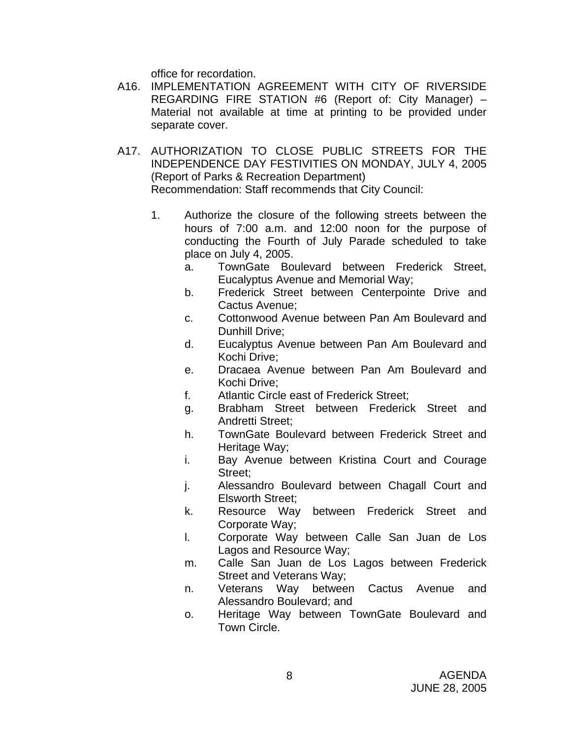office for recordation.

- A16. IMPLEMENTATION AGREEMENT WITH CITY OF RIVERSIDE REGARDING FIRE STATION #6 (Report of: City Manager) – Material not available at time at printing to be provided under separate cover.
- A17. AUTHORIZATION TO CLOSE PUBLIC STREETS FOR THE INDEPENDENCE DAY FESTIVITIES ON MONDAY, JULY 4, 2005 (Report of Parks & Recreation Department) Recommendation: Staff recommends that City Council:
	- 1. Authorize the closure of the following streets between the hours of 7:00 a.m. and 12:00 noon for the purpose of conducting the Fourth of July Parade scheduled to take place on July 4, 2005.
		- a. TownGate Boulevard between Frederick Street, Eucalyptus Avenue and Memorial Way;
		- b. Frederick Street between Centerpointe Drive and Cactus Avenue;
		- c. Cottonwood Avenue between Pan Am Boulevard and Dunhill Drive;
		- d. Eucalyptus Avenue between Pan Am Boulevard and Kochi Drive;
		- e. Dracaea Avenue between Pan Am Boulevard and Kochi Drive;
		- f. Atlantic Circle east of Frederick Street;
		- g. Brabham Street between Frederick Street and Andretti Street;
		- h. TownGate Boulevard between Frederick Street and Heritage Way;
		- i. Bay Avenue between Kristina Court and Courage Street:
		- j. Alessandro Boulevard between Chagall Court and Elsworth Street;
		- k. Resource Way between Frederick Street and Corporate Way;
		- l. Corporate Way between Calle San Juan de Los Lagos and Resource Way;
		- m. Calle San Juan de Los Lagos between Frederick Street and Veterans Way;
		- n. Veterans Way between Cactus Avenue and Alessandro Boulevard; and
		- o. Heritage Way between TownGate Boulevard and Town Circle.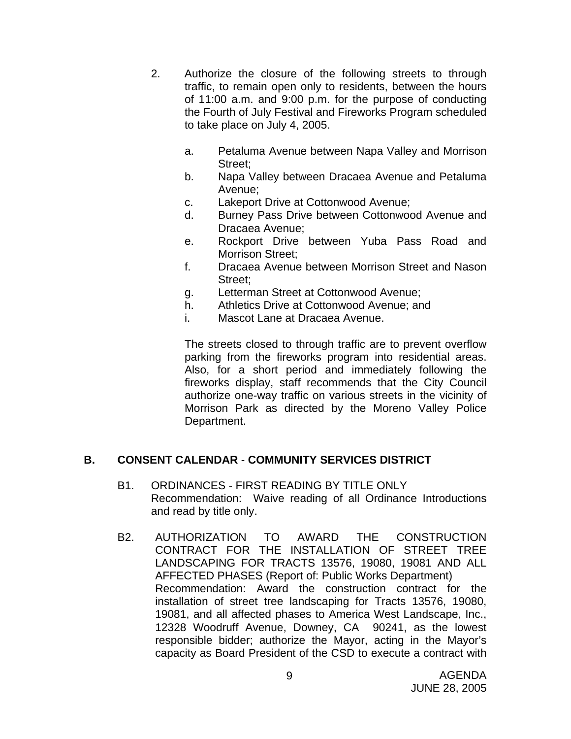- 2. Authorize the closure of the following streets to through traffic, to remain open only to residents, between the hours of 11:00 a.m. and 9:00 p.m. for the purpose of conducting the Fourth of July Festival and Fireworks Program scheduled to take place on July 4, 2005.
	- a. Petaluma Avenue between Napa Valley and Morrison Street;
	- b. Napa Valley between Dracaea Avenue and Petaluma Avenue;
	- c. Lakeport Drive at Cottonwood Avenue;
	- d. Burney Pass Drive between Cottonwood Avenue and Dracaea Avenue;
	- e. Rockport Drive between Yuba Pass Road and Morrison Street;
	- f. Dracaea Avenue between Morrison Street and Nason Street;
	- g. Letterman Street at Cottonwood Avenue;
	- h. Athletics Drive at Cottonwood Avenue; and
	- i. Mascot Lane at Dracaea Avenue.

The streets closed to through traffic are to prevent overflow parking from the fireworks program into residential areas. Also, for a short period and immediately following the fireworks display, staff recommends that the City Council authorize one-way traffic on various streets in the vicinity of Morrison Park as directed by the Moreno Valley Police Department.

# **B. CONSENT CALENDAR** - **COMMUNITY SERVICES DISTRICT**

- B1. ORDINANCES FIRST READING BY TITLE ONLY Recommendation: Waive reading of all Ordinance Introductions and read by title only.
- B2. AUTHORIZATION TO AWARD THE CONSTRUCTION CONTRACT FOR THE INSTALLATION OF STREET TREE LANDSCAPING FOR TRACTS 13576, 19080, 19081 AND ALL AFFECTED PHASES (Report of: Public Works Department) Recommendation: Award the construction contract for the installation of street tree landscaping for Tracts 13576, 19080, 19081, and all affected phases to America West Landscape, Inc., 12328 Woodruff Avenue, Downey, CA 90241, as the lowest responsible bidder; authorize the Mayor, acting in the Mayor's capacity as Board President of the CSD to execute a contract with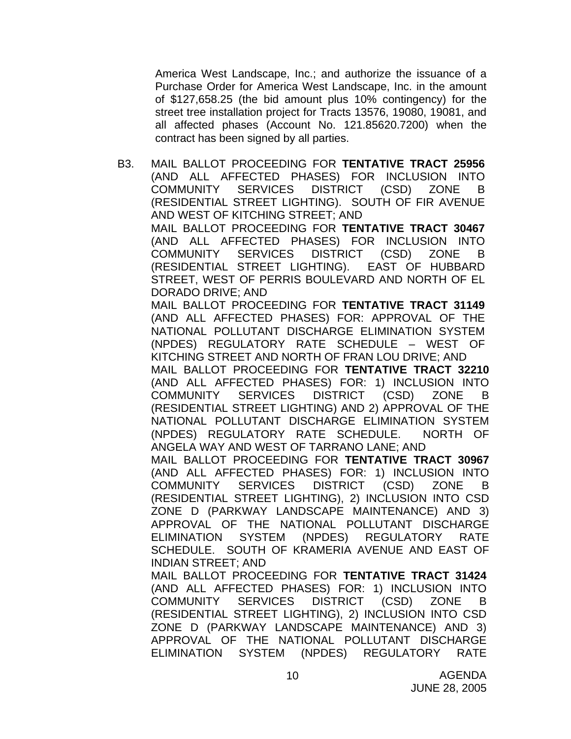America West Landscape, Inc.; and authorize the issuance of a Purchase Order for America West Landscape, Inc. in the amount of \$127,658.25 (the bid amount plus 10% contingency) for the street tree installation project for Tracts 13576, 19080, 19081, and all affected phases (Account No. 121.85620.7200) when the contract has been signed by all parties.

B3. MAIL BALLOT PROCEEDING FOR **TENTATIVE TRACT 25956** (AND ALL AFFECTED PHASES) FOR INCLUSION INTO COMMUNITY SERVICES DISTRICT (CSD) ZONE B (RESIDENTIAL STREET LIGHTING). SOUTH OF FIR AVENUE AND WEST OF KITCHING STREET; AND MAIL BALLOT PROCEEDING FOR **TENTATIVE TRACT 30467** (AND ALL AFFECTED PHASES) FOR INCLUSION INTO COMMUNITY SERVICES DISTRICT (CSD) ZONE B (RESIDENTIAL STREET LIGHTING). EAST OF HUBBARD STREET, WEST OF PERRIS BOULEVARD AND NORTH OF EL DORADO DRIVE; AND MAIL BALLOT PROCEEDING FOR **TENTATIVE TRACT 31149** (AND ALL AFFECTED PHASES) FOR: APPROVAL OF THE NATIONAL POLLUTANT DISCHARGE ELIMINATION SYSTEM (NPDES) REGULATORY RATE SCHEDULE – WEST OF KITCHING STREET AND NORTH OF FRAN LOU DRIVE; AND MAIL BALLOT PROCEEDING FOR **TENTATIVE TRACT 32210** (AND ALL AFFECTED PHASES) FOR: 1) INCLUSION INTO COMMUNITY SERVICES DISTRICT (CSD) ZONE B (RESIDENTIAL STREET LIGHTING) AND 2) APPROVAL OF THE NATIONAL POLLUTANT DISCHARGE ELIMINATION SYSTEM (NPDES) REGULATORY RATE SCHEDULE. NORTH OF ANGELA WAY AND WEST OF TARRANO LANE; AND MAIL BALLOT PROCEEDING FOR **TENTATIVE TRACT 30967** (AND ALL AFFECTED PHASES) FOR: 1) INCLUSION INTO COMMUNITY SERVICES DISTRICT (CSD) ZONE B (RESIDENTIAL STREET LIGHTING), 2) INCLUSION INTO CSD ZONE D (PARKWAY LANDSCAPE MAINTENANCE) AND 3) APPROVAL OF THE NATIONAL POLLUTANT DISCHARGE ELIMINATION SYSTEM (NPDES) REGULATORY RATE SCHEDULE. SOUTH OF KRAMERIA AVENUE AND EAST OF INDIAN STREET; AND MAIL BALLOT PROCEEDING FOR **TENTATIVE TRACT 31424** (AND ALL AFFECTED PHASES) FOR: 1) INCLUSION INTO COMMUNITY SERVICES DISTRICT (CSD) ZONE B (RESIDENTIAL STREET LIGHTING), 2) INCLUSION INTO CSD ZONE D (PARKWAY LANDSCAPE MAINTENANCE) AND 3)

APPROVAL OF THE NATIONAL POLLUTANT DISCHARGE ELIMINATION SYSTEM (NPDES) REGULATORY RATE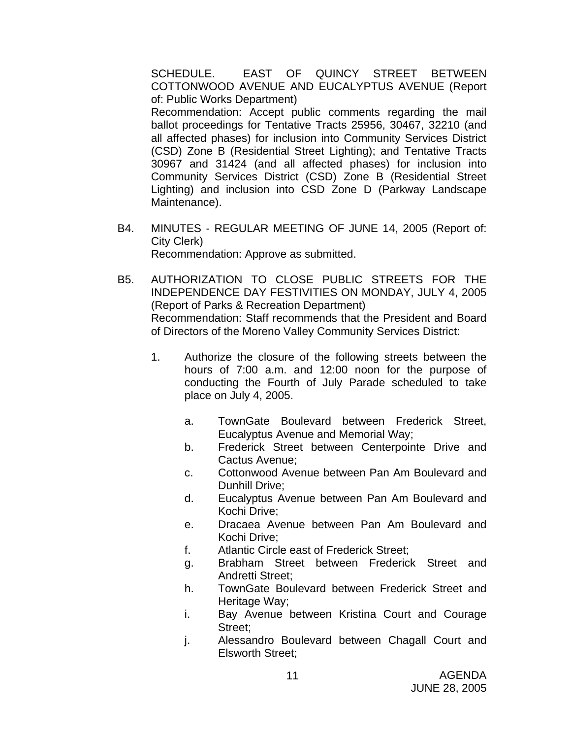SCHEDULE. EAST OF QUINCY STREET BETWEEN COTTONWOOD AVENUE AND EUCALYPTUS AVENUE (Report of: Public Works Department) Recommendation: Accept public comments regarding the mail ballot proceedings for Tentative Tracts 25956, 30467, 32210 (and all affected phases) for inclusion into Community Services District (CSD) Zone B (Residential Street Lighting); and Tentative Tracts 30967 and 31424 (and all affected phases) for inclusion into Community Services District (CSD) Zone B (Residential Street Lighting) and inclusion into CSD Zone D (Parkway Landscape Maintenance).

- B4. MINUTES REGULAR MEETING OF JUNE 14, 2005 (Report of: City Clerk) Recommendation: Approve as submitted.
- B5. AUTHORIZATION TO CLOSE PUBLIC STREETS FOR THE INDEPENDENCE DAY FESTIVITIES ON MONDAY, JULY 4, 2005 (Report of Parks & Recreation Department) Recommendation: Staff recommends that the President and Board of Directors of the Moreno Valley Community Services District:
	- 1. Authorize the closure of the following streets between the hours of 7:00 a.m. and 12:00 noon for the purpose of conducting the Fourth of July Parade scheduled to take place on July 4, 2005.
		- a. TownGate Boulevard between Frederick Street, Eucalyptus Avenue and Memorial Way;
		- b. Frederick Street between Centerpointe Drive and Cactus Avenue;
		- c. Cottonwood Avenue between Pan Am Boulevard and Dunhill Drive;
		- d. Eucalyptus Avenue between Pan Am Boulevard and Kochi Drive;
		- e. Dracaea Avenue between Pan Am Boulevard and Kochi Drive;
		- f. Atlantic Circle east of Frederick Street;
		- g. Brabham Street between Frederick Street and Andretti Street;
		- h. TownGate Boulevard between Frederick Street and Heritage Way;
		- i. Bay Avenue between Kristina Court and Courage Street;
		- j. Alessandro Boulevard between Chagall Court and Elsworth Street;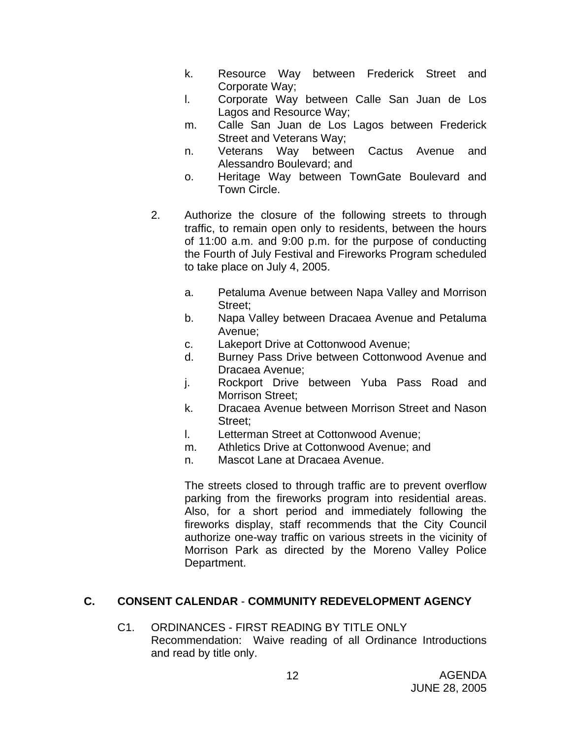- k. Resource Way between Frederick Street and Corporate Way;
- l. Corporate Way between Calle San Juan de Los Lagos and Resource Way;
- m. Calle San Juan de Los Lagos between Frederick Street and Veterans Way;
- n. Veterans Way between Cactus Avenue and Alessandro Boulevard; and
- o. Heritage Way between TownGate Boulevard and Town Circle.
- 2. Authorize the closure of the following streets to through traffic, to remain open only to residents, between the hours of 11:00 a.m. and 9:00 p.m. for the purpose of conducting the Fourth of July Festival and Fireworks Program scheduled to take place on July 4, 2005.
	- a. Petaluma Avenue between Napa Valley and Morrison Street;
	- b. Napa Valley between Dracaea Avenue and Petaluma Avenue;
	- c. Lakeport Drive at Cottonwood Avenue;
	- d. Burney Pass Drive between Cottonwood Avenue and Dracaea Avenue;
	- j. Rockport Drive between Yuba Pass Road and Morrison Street;
	- k. Dracaea Avenue between Morrison Street and Nason Street;
	- l. Letterman Street at Cottonwood Avenue;
	- m. Athletics Drive at Cottonwood Avenue; and
	- n. Mascot Lane at Dracaea Avenue.

The streets closed to through traffic are to prevent overflow parking from the fireworks program into residential areas. Also, for a short period and immediately following the fireworks display, staff recommends that the City Council authorize one-way traffic on various streets in the vicinity of Morrison Park as directed by the Moreno Valley Police Department.

# **C. CONSENT CALENDAR** - **COMMUNITY REDEVELOPMENT AGENCY**

C1. ORDINANCES - FIRST READING BY TITLE ONLY Recommendation: Waive reading of all Ordinance Introductions and read by title only.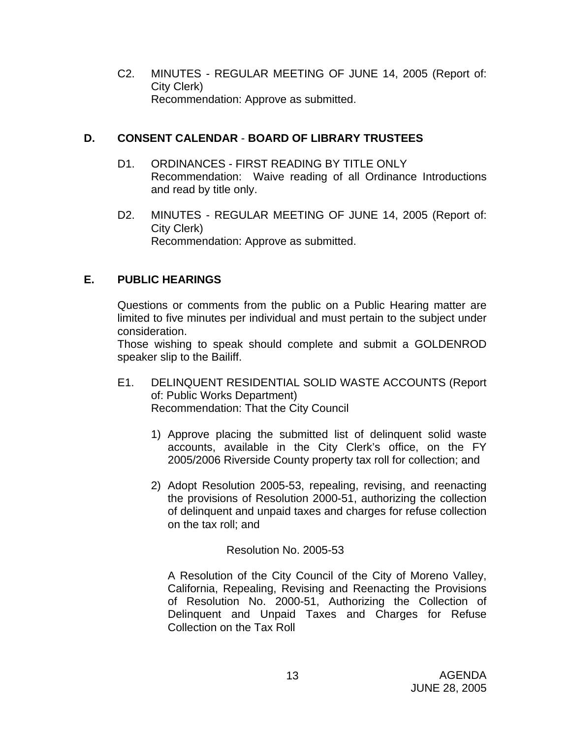C2. MINUTES - REGULAR MEETING OF JUNE 14, 2005 (Report of: City Clerk) Recommendation: Approve as submitted.

# **D. CONSENT CALENDAR** - **BOARD OF LIBRARY TRUSTEES**

- D1. ORDINANCES FIRST READING BY TITLE ONLY Recommendation: Waive reading of all Ordinance Introductions and read by title only.
- D2. MINUTES REGULAR MEETING OF JUNE 14, 2005 (Report of: City Clerk) Recommendation: Approve as submitted.

# **E. PUBLIC HEARINGS**

Questions or comments from the public on a Public Hearing matter are limited to five minutes per individual and must pertain to the subject under consideration.

 Those wishing to speak should complete and submit a GOLDENROD speaker slip to the Bailiff.

- E1. DELINQUENT RESIDENTIAL SOLID WASTE ACCOUNTS (Report of: Public Works Department) Recommendation: That the City Council
	- 1) Approve placing the submitted list of delinquent solid waste accounts, available in the City Clerk's office, on the FY 2005/2006 Riverside County property tax roll for collection; and
	- 2) Adopt Resolution 2005-53, repealing, revising, and reenacting the provisions of Resolution 2000-51, authorizing the collection of delinquent and unpaid taxes and charges for refuse collection on the tax roll; and

### Resolution No. 2005-53

 A Resolution of the City Council of the City of Moreno Valley, California, Repealing, Revising and Reenacting the Provisions of Resolution No. 2000-51, Authorizing the Collection of Delinquent and Unpaid Taxes and Charges for Refuse Collection on the Tax Roll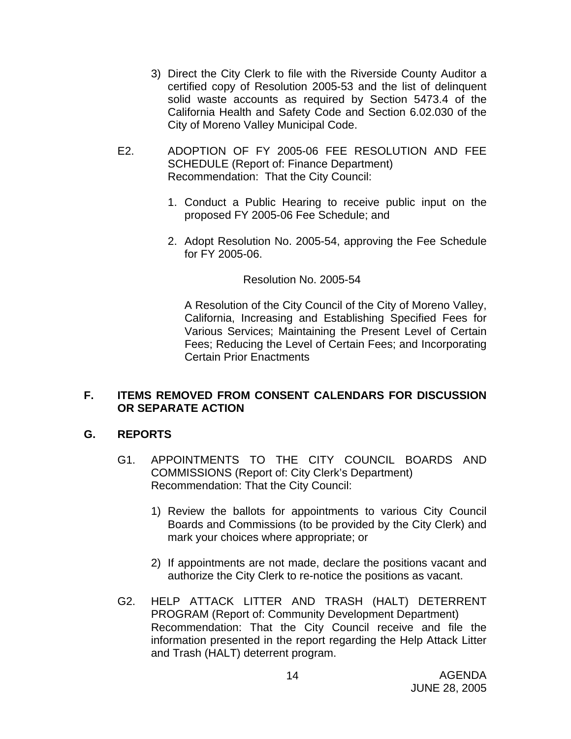- 3) Direct the City Clerk to file with the Riverside County Auditor a certified copy of Resolution 2005-53 and the list of delinquent solid waste accounts as required by Section 5473.4 of the California Health and Safety Code and Section 6.02.030 of the City of Moreno Valley Municipal Code.
- E2. ADOPTION OF FY 2005-06 FEE RESOLUTION AND FEE SCHEDULE (Report of: Finance Department) Recommendation: That the City Council:
	- 1. Conduct a Public Hearing to receive public input on the proposed FY 2005-06 Fee Schedule; and
	- 2. Adopt Resolution No. 2005-54, approving the Fee Schedule for FY 2005-06.

### Resolution No. 2005-54

A Resolution of the City Council of the City of Moreno Valley, California, Increasing and Establishing Specified Fees for Various Services; Maintaining the Present Level of Certain Fees; Reducing the Level of Certain Fees; and Incorporating Certain Prior Enactments

## **F. ITEMS REMOVED FROM CONSENT CALENDARS FOR DISCUSSION OR SEPARATE ACTION**

# **G. REPORTS**

- G1. APPOINTMENTS TO THE CITY COUNCIL BOARDS AND COMMISSIONS (Report of: City Clerk's Department) Recommendation: That the City Council:
	- 1) Review the ballots for appointments to various City Council Boards and Commissions (to be provided by the City Clerk) and mark your choices where appropriate; or
	- 2) If appointments are not made, declare the positions vacant and authorize the City Clerk to re-notice the positions as vacant.
- G2. HELP ATTACK LITTER AND TRASH (HALT) DETERRENT PROGRAM (Report of: Community Development Department) Recommendation: That the City Council receive and file the information presented in the report regarding the Help Attack Litter and Trash (HALT) deterrent program.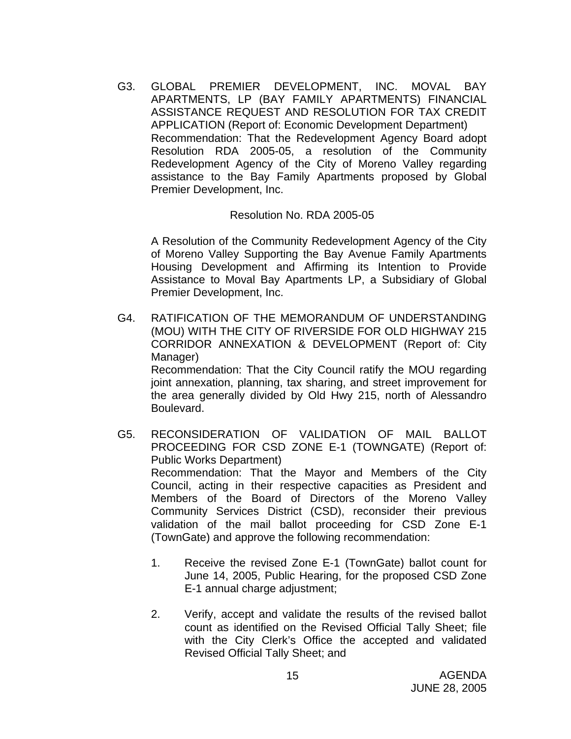G3. GLOBAL PREMIER DEVELOPMENT, INC. MOVAL BAY APARTMENTS, LP (BAY FAMILY APARTMENTS) FINANCIAL ASSISTANCE REQUEST AND RESOLUTION FOR TAX CREDIT APPLICATION (Report of: Economic Development Department) Recommendation: That the Redevelopment Agency Board adopt Resolution RDA 2005-05, a resolution of the Community Redevelopment Agency of the City of Moreno Valley regarding assistance to the Bay Family Apartments proposed by Global Premier Development, Inc.

Resolution No. RDA 2005-05

 A Resolution of the Community Redevelopment Agency of the City of Moreno Valley Supporting the Bay Avenue Family Apartments Housing Development and Affirming its Intention to Provide Assistance to Moval Bay Apartments LP, a Subsidiary of Global Premier Development, Inc.

G4. RATIFICATION OF THE MEMORANDUM OF UNDERSTANDING (MOU) WITH THE CITY OF RIVERSIDE FOR OLD HIGHWAY 215 CORRIDOR ANNEXATION & DEVELOPMENT (Report of: City Manager) Recommendation: That the City Council ratify the MOU regarding

joint annexation, planning, tax sharing, and street improvement for the area generally divided by Old Hwy 215, north of Alessandro Boulevard.

- G5. RECONSIDERATION OF VALIDATION OF MAIL BALLOT PROCEEDING FOR CSD ZONE E-1 (TOWNGATE) (Report of: Public Works Department) Recommendation: That the Mayor and Members of the City Council, acting in their respective capacities as President and Members of the Board of Directors of the Moreno Valley Community Services District (CSD), reconsider their previous validation of the mail ballot proceeding for CSD Zone E-1 (TownGate) and approve the following recommendation:
	- 1. Receive the revised Zone E-1 (TownGate) ballot count for June 14, 2005, Public Hearing, for the proposed CSD Zone E-1 annual charge adjustment;
	- 2. Verify, accept and validate the results of the revised ballot count as identified on the Revised Official Tally Sheet; file with the City Clerk's Office the accepted and validated Revised Official Tally Sheet; and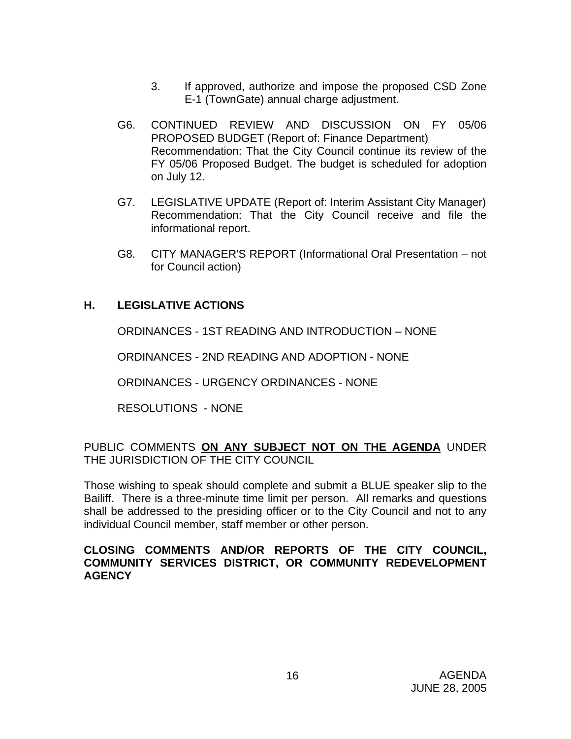- 3. If approved, authorize and impose the proposed CSD Zone E-1 (TownGate) annual charge adjustment.
- G6. CONTINUED REVIEW AND DISCUSSION ON FY 05/06 PROPOSED BUDGET (Report of: Finance Department) Recommendation: That the City Council continue its review of the FY 05/06 Proposed Budget. The budget is scheduled for adoption on July 12.
- G7. LEGISLATIVE UPDATE (Report of: Interim Assistant City Manager) Recommendation: That the City Council receive and file the informational report.
- G8. CITY MANAGER'S REPORT (Informational Oral Presentation not for Council action)

# **H. LEGISLATIVE ACTIONS**

ORDINANCES - 1ST READING AND INTRODUCTION – NONE

ORDINANCES - 2ND READING AND ADOPTION - NONE

ORDINANCES - URGENCY ORDINANCES - NONE

RESOLUTIONS - NONE

## PUBLIC COMMENTS **ON ANY SUBJECT NOT ON THE AGENDA** UNDER THE JURISDICTION OF THE CITY COUNCIL

Those wishing to speak should complete and submit a BLUE speaker slip to the Bailiff. There is a three-minute time limit per person. All remarks and questions shall be addressed to the presiding officer or to the City Council and not to any individual Council member, staff member or other person.

## **CLOSING COMMENTS AND/OR REPORTS OF THE CITY COUNCIL, COMMUNITY SERVICES DISTRICT, OR COMMUNITY REDEVELOPMENT AGENCY**